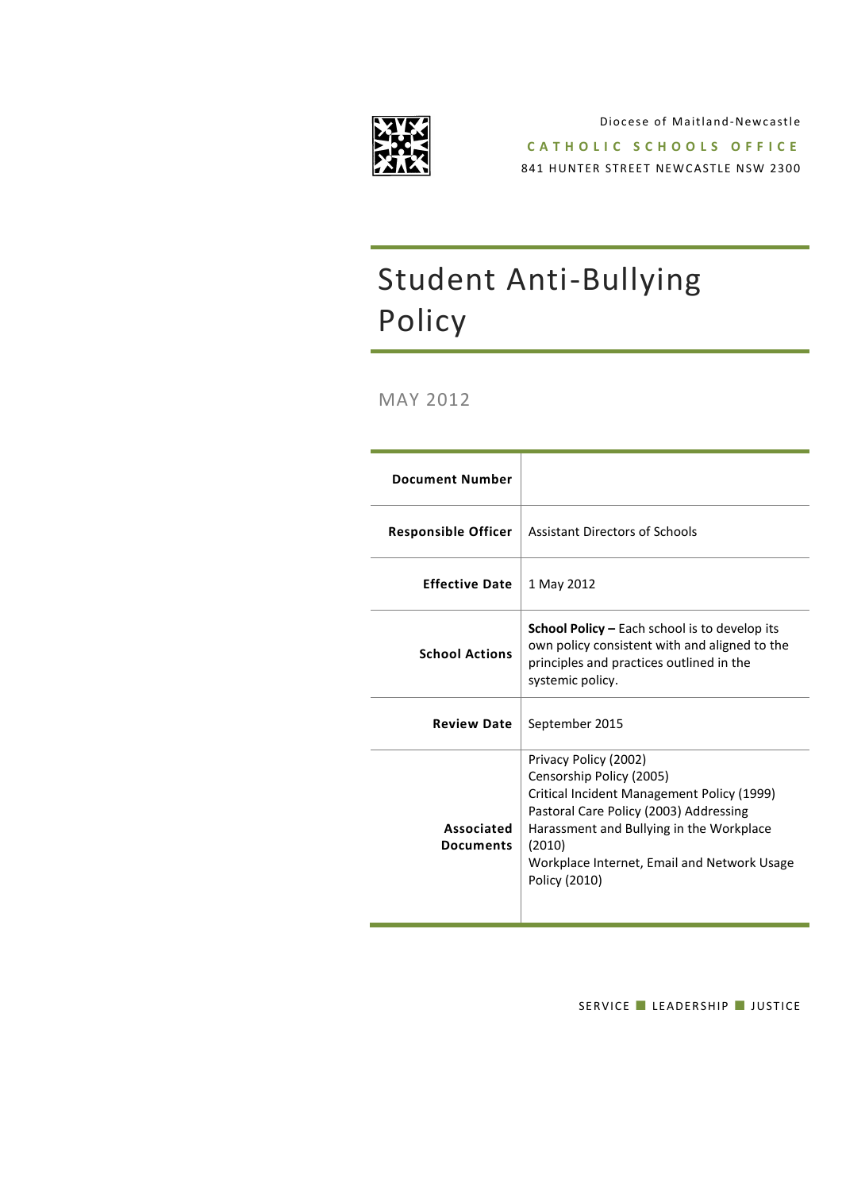

Diocese of Maitland-Newcastle **C A T H O L I C S C H O O L S O F F I C E** 841 HUNTER STREET NEWCASTLE NSW 2300

# Student Anti-Bullying Policy

MAY 2012

| <b>Document Number</b>         |                                                                                                                                                                                                                                                                 |
|--------------------------------|-----------------------------------------------------------------------------------------------------------------------------------------------------------------------------------------------------------------------------------------------------------------|
| <b>Responsible Officer</b>     | Assistant Directors of Schools                                                                                                                                                                                                                                  |
| <b>Effective Date</b>          | 1 May 2012                                                                                                                                                                                                                                                      |
| <b>School Actions</b>          | <b>School Policy - Each school is to develop its</b><br>own policy consistent with and aligned to the<br>principles and practices outlined in the<br>systemic policy.                                                                                           |
| <b>Review Date</b>             | September 2015                                                                                                                                                                                                                                                  |
| Associated<br><b>Documents</b> | Privacy Policy (2002)<br>Censorship Policy (2005)<br>Critical Incident Management Policy (1999)<br>Pastoral Care Policy (2003) Addressing<br>Harassment and Bullying in the Workplace<br>(2010)<br>Workplace Internet, Email and Network Usage<br>Policy (2010) |

SERVICE LEADERSHIP JUSTICE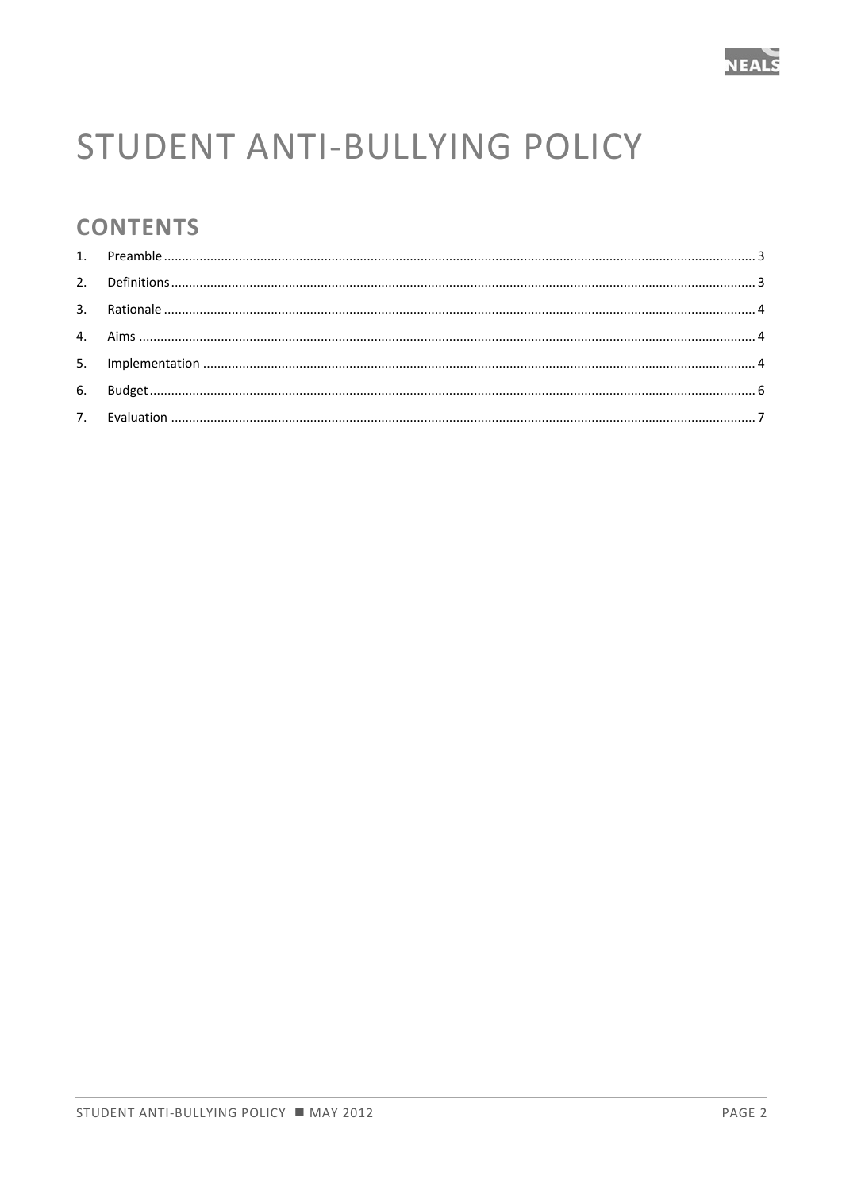

# STUDENT ANTI-BULLYING POLICY

# **CONTENTS**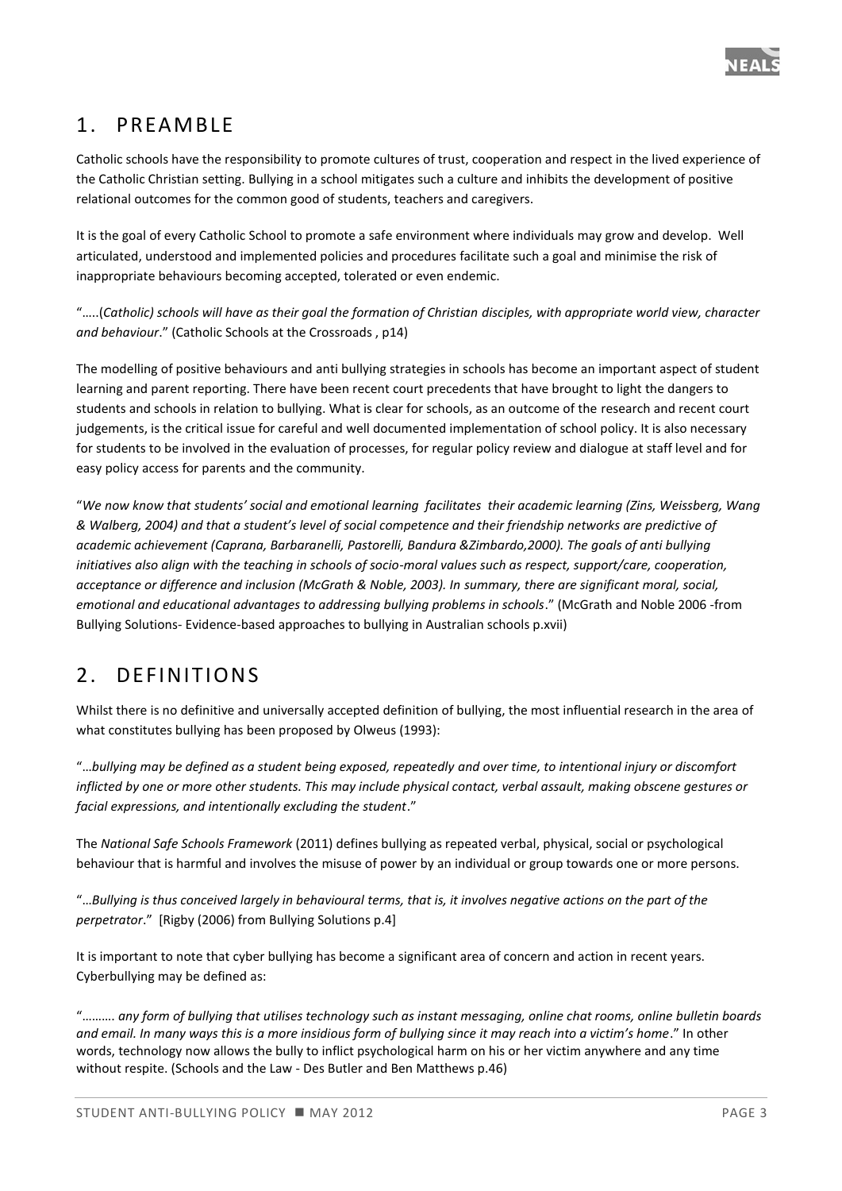

# <span id="page-2-0"></span>1. PREAM BLE

Catholic schools have the responsibility to promote cultures of trust, cooperation and respect in the lived experience of the Catholic Christian setting. Bullying in a school mitigates such a culture and inhibits the development of positive relational outcomes for the common good of students, teachers and caregivers.

It is the goal of every Catholic School to promote a safe environment where individuals may grow and develop. Well articulated, understood and implemented policies and procedures facilitate such a goal and minimise the risk of inappropriate behaviours becoming accepted, tolerated or even endemic.

"…..(*Catholic) schools will have as their goal the formation of Christian disciples, with appropriate world view, character and behaviour*." (Catholic Schools at the Crossroads , p14)

The modelling of positive behaviours and anti bullying strategies in schools has become an important aspect of student learning and parent reporting. There have been recent court precedents that have brought to light the dangers to students and schools in relation to bullying. What is clear for schools, as an outcome of the research and recent court judgements, is the critical issue for careful and well documented implementation of school policy. It is also necessary for students to be involved in the evaluation of processes, for regular policy review and dialogue at staff level and for easy policy access for parents and the community.

"*We now know that students' social and emotional learning facilitates their academic learning (Zins, Weissberg, Wang & Walberg, 2004) and that a student's level of social competence and their friendship networks are predictive of academic achievement (Caprana, Barbaranelli, Pastorelli, Bandura &Zimbardo,2000). The goals of anti bullying initiatives also align with the teaching in schools of socio-moral values such as respect, support/care, cooperation, acceptance or difference and inclusion (McGrath & Noble, 2003). In summary, there are significant moral, social, emotional and educational advantages to addressing bullying problems in schools*." (McGrath and Noble 2006 -from Bullying Solutions- Evidence-based approaches to bullying in Australian schools p.xvii)

# <span id="page-2-1"></span>2. DEFINITIONS

Whilst there is no definitive and universally accepted definition of bullying, the most influential research in the area of what constitutes bullying has been proposed by Olweus (1993):

"…*bullying may be defined as a student being exposed, repeatedly and over time, to intentional injury or discomfort inflicted by one or more other students. This may include physical contact, verbal assault, making obscene gestures or facial expressions, and intentionally excluding the student*."

The *National Safe Schools Framework* (2011) defines bullying as repeated verbal, physical, social or psychological behaviour that is harmful and involves the misuse of power by an individual or group towards one or more persons.

"…*Bullying is thus conceived largely in behavioural terms, that is, it involves negative actions on the part of the perpetrator*." [Rigby (2006) from Bullying Solutions p.4]

It is important to note that cyber bullying has become a significant area of concern and action in recent years. Cyberbullying may be defined as:

"………. *any form of bullying that utilises technology such as instant messaging, online chat rooms, online bulletin boards and email. In many ways this is a more insidious form of bullying since it may reach into a victim's home*." In other words, technology now allows the bully to inflict psychological harm on his or her victim anywhere and any time without respite. (Schools and the Law - Des Butler and Ben Matthews p.46)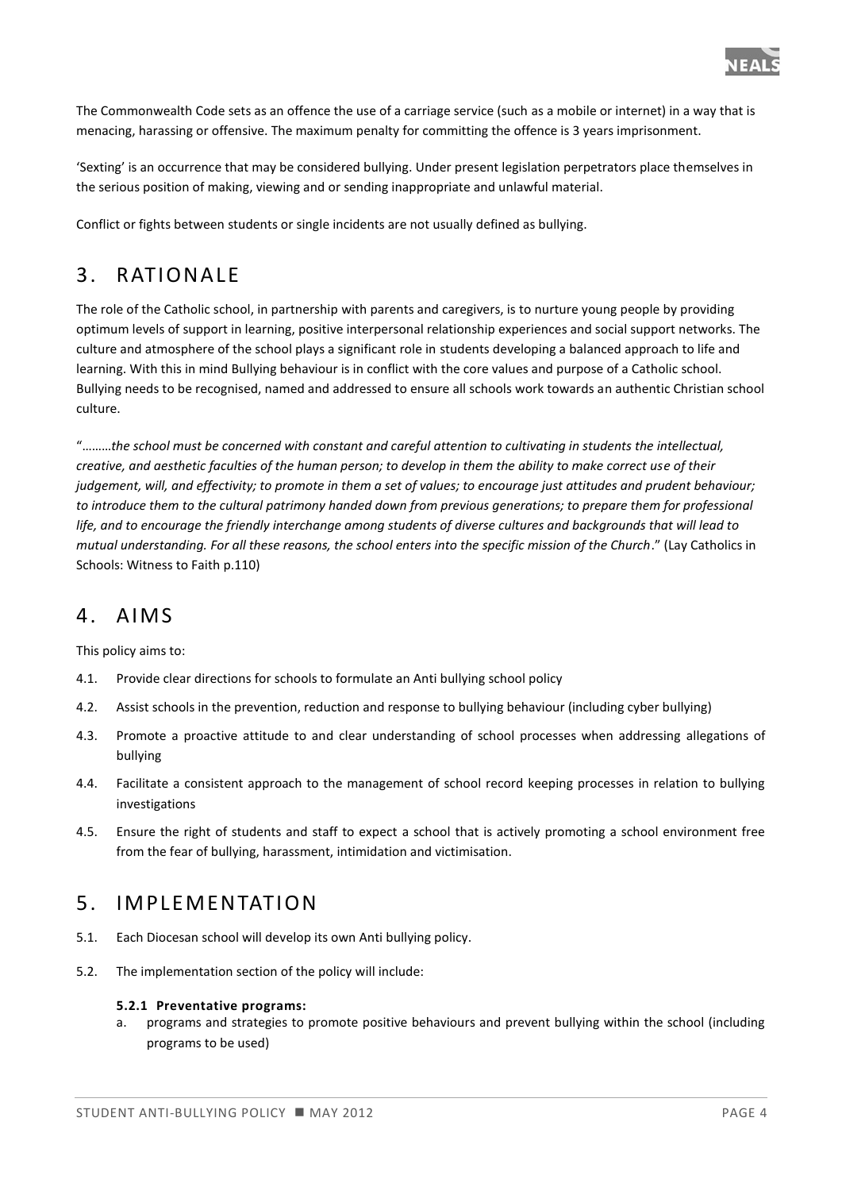

The Commonwealth Code sets as an offence the use of a carriage service (such as a mobile or internet) in a way that is menacing, harassing or offensive. The maximum penalty for committing the offence is 3 years imprisonment.

'Sexting' is an occurrence that may be considered bullying. Under present legislation perpetrators place themselves in the serious position of making, viewing and or sending inappropriate and unlawful material.

Conflict or fights between students or single incidents are not usually defined as bullying.

# <span id="page-3-0"></span>3. RATIONALE

The role of the Catholic school, in partnership with parents and caregivers, is to nurture young people by providing optimum levels of support in learning, positive interpersonal relationship experiences and social support networks. The culture and atmosphere of the school plays a significant role in students developing a balanced approach to life and learning. With this in mind Bullying behaviour is in conflict with the core values and purpose of a Catholic school. Bullying needs to be recognised, named and addressed to ensure all schools work towards an authentic Christian school culture.

"………*the school must be concerned with constant and careful attention to cultivating in students the intellectual, creative, and aesthetic faculties of the human person; to develop in them the ability to make correct use of their judgement, will, and effectivity; to promote in them a set of values; to encourage just attitudes and prudent behaviour;*  to introduce them to the cultural patrimony handed down from previous generations; to prepare them for professional *life, and to encourage the friendly interchange among students of diverse cultures and backgrounds that will lead to mutual understanding. For all these reasons, the school enters into the specific mission of the Church*." (Lay Catholics in Schools: Witness to Faith p.110)

## <span id="page-3-1"></span>4. AIMS

This policy aims to:

- 4.1. Provide clear directions for schools to formulate an Anti bullying school policy
- 4.2. Assist schools in the prevention, reduction and response to bullying behaviour (including cyber bullying)
- 4.3. Promote a proactive attitude to and clear understanding of school processes when addressing allegations of bullying
- 4.4. Facilitate a consistent approach to the management of school record keeping processes in relation to bullying investigations
- 4.5. Ensure the right of students and staff to expect a school that is actively promoting a school environment free from the fear of bullying, harassment, intimidation and victimisation.

## <span id="page-3-2"></span>5. IMPLEMENTATION

- 5.1. Each Diocesan school will develop its own Anti bullying policy.
- 5.2. The implementation section of the policy will include:

#### **5.2.1 Preventative programs:**

a. programs and strategies to promote positive behaviours and prevent bullying within the school (including programs to be used)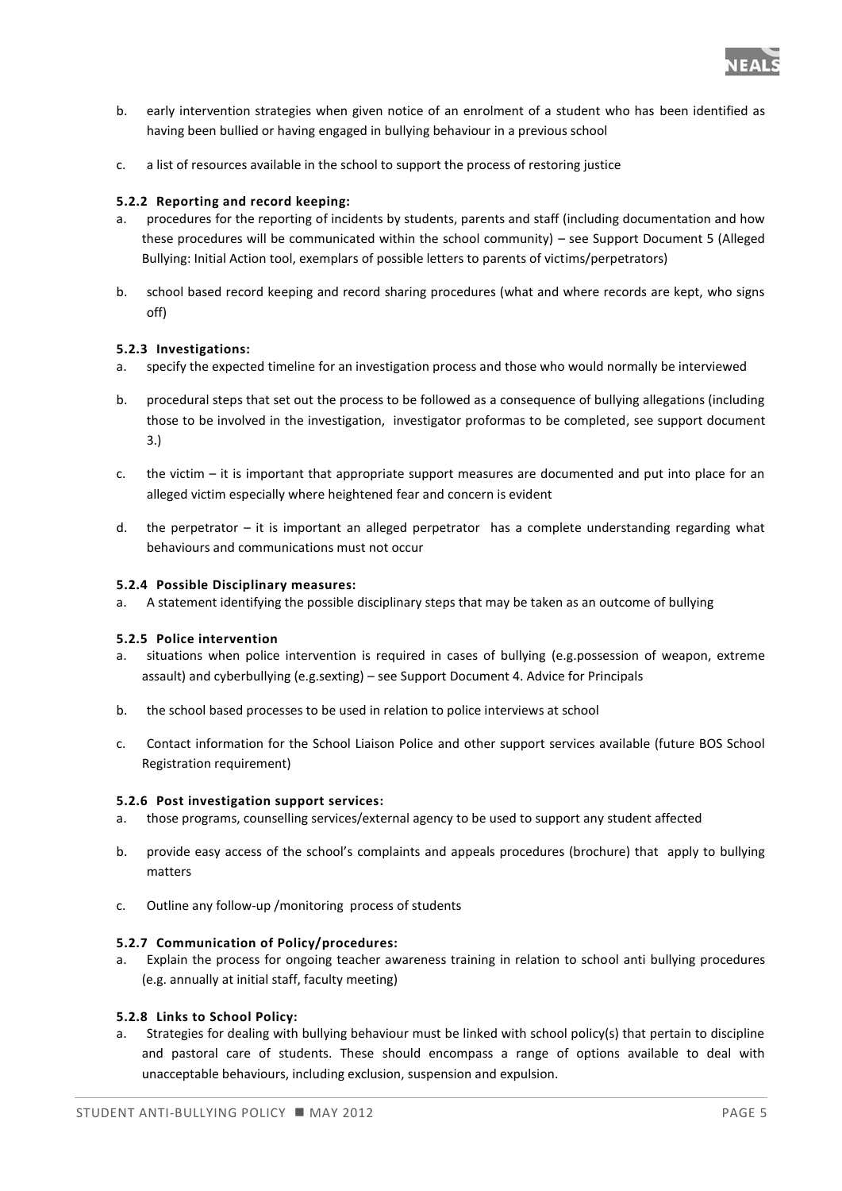

- b. early intervention strategies when given notice of an enrolment of a student who has been identified as having been bullied or having engaged in bullying behaviour in a previous school
- c. a list of resources available in the school to support the process of restoring justice

#### **5.2.2 Reporting and record keeping:**

- a. procedures for the reporting of incidents by students, parents and staff (including documentation and how these procedures will be communicated within the school community) – see Support Document 5 (Alleged Bullying: Initial Action tool, exemplars of possible letters to parents of victims/perpetrators)
- b. school based record keeping and record sharing procedures (what and where records are kept, who signs off)

#### **5.2.3 Investigations:**

- a. specify the expected timeline for an investigation process and those who would normally be interviewed
- b. procedural steps that set out the process to be followed as a consequence of bullying allegations (including those to be involved in the investigation, investigator proformas to be completed, see support document 3.)
- c. the victim it is important that appropriate support measures are documented and put into place for an alleged victim especially where heightened fear and concern is evident
- d. the perpetrator it is important an alleged perpetrator has a complete understanding regarding what behaviours and communications must not occur

#### **5.2.4 Possible Disciplinary measures:**

a. A statement identifying the possible disciplinary steps that may be taken as an outcome of bullying

#### **5.2.5 Police intervention**

- a. situations when police intervention is required in cases of bullying (e.g.possession of weapon, extreme assault) and cyberbullying (e.g.sexting) – see Support Document 4. Advice for Principals
- b. the school based processes to be used in relation to police interviews at school
- c. Contact information for the School Liaison Police and other support services available (future BOS School Registration requirement)

#### **5.2.6 Post investigation support services:**

- a. those programs, counselling services/external agency to be used to support any student affected
- b. provide easy access of the school's complaints and appeals procedures (brochure) that apply to bullying matters
- c. Outline any follow-up /monitoring process of students

#### **5.2.7 Communication of Policy/procedures:**

a. Explain the process for ongoing teacher awareness training in relation to school anti bullying procedures (e.g. annually at initial staff, faculty meeting)

#### **5.2.8 Links to School Policy:**

a. Strategies for dealing with bullying behaviour must be linked with school policy(s) that pertain to discipline and pastoral care of students. These should encompass a range of options available to deal with unacceptable behaviours, including exclusion, suspension and expulsion.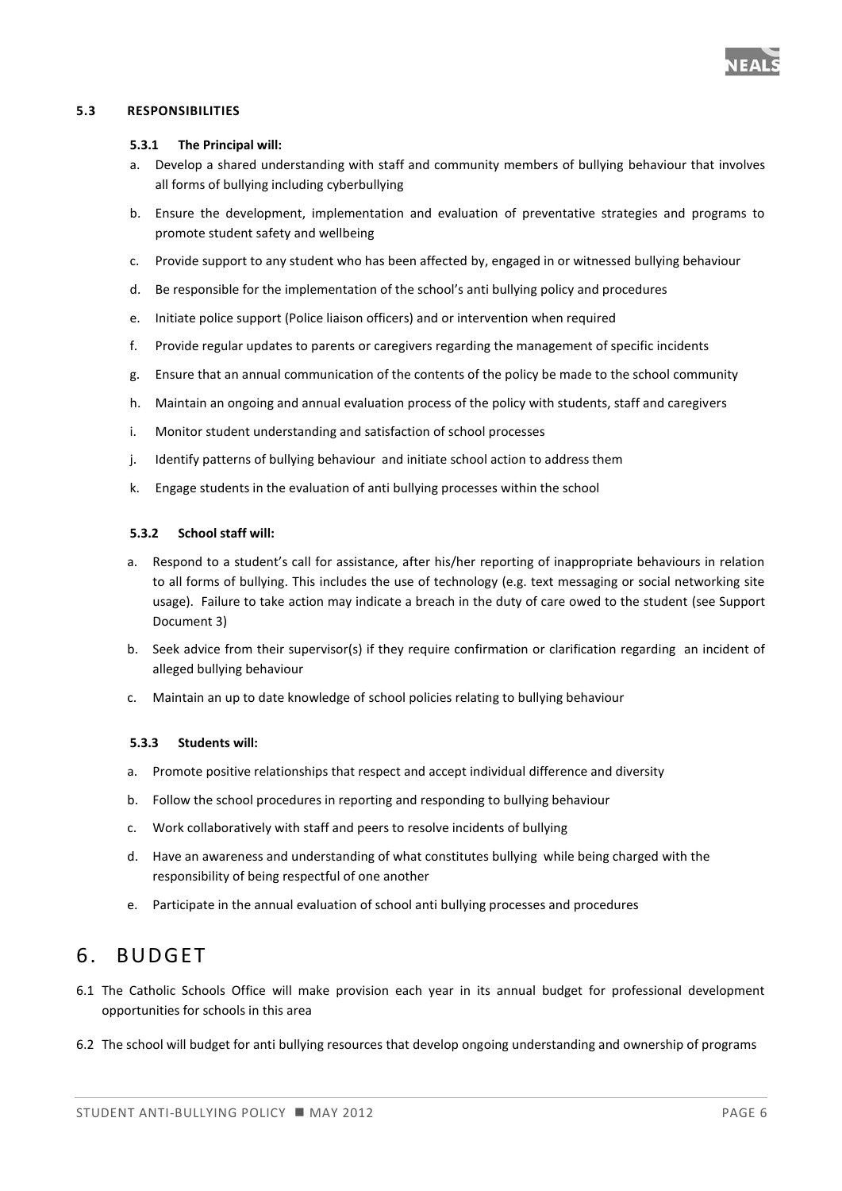

#### **5.3 RESPONSIBILITIES**

#### **5.3.1 The Principal will:**

- a. Develop a shared understanding with staff and community members of bullying behaviour that involves all forms of bullying including cyberbullying
- b. Ensure the development, implementation and evaluation of preventative strategies and programs to promote student safety and wellbeing
- c. Provide support to any student who has been affected by, engaged in or witnessed bullying behaviour
- d. Be responsible for the implementation of the school's anti bullying policy and procedures
- e. Initiate police support (Police liaison officers) and or intervention when required
- f. Provide regular updates to parents or caregivers regarding the management of specific incidents
- g. Ensure that an annual communication of the contents of the policy be made to the school community
- h. Maintain an ongoing and annual evaluation process of the policy with students, staff and caregivers
- i. Monitor student understanding and satisfaction of school processes
- j. Identify patterns of bullying behaviour and initiate school action to address them
- k. Engage students in the evaluation of anti bullying processes within the school

#### **5.3.2 School staff will:**

- a. Respond to a student's call for assistance, after his/her reporting of inappropriate behaviours in relation to all forms of bullying. This includes the use of technology (e.g. text messaging or social networking site usage). Failure to take action may indicate a breach in the duty of care owed to the student (see Support Document 3)
- b. Seek advice from their supervisor(s) if they require confirmation or clarification regarding an incident of alleged bullying behaviour
- c. Maintain an up to date knowledge of school policies relating to bullying behaviour

#### **5.3.3 Students will:**

- a. Promote positive relationships that respect and accept individual difference and diversity
- b. Follow the school procedures in reporting and responding to bullying behaviour
- c. Work collaboratively with staff and peers to resolve incidents of bullying
- d. Have an awareness and understanding of what constitutes bullying while being charged with the responsibility of being respectful of one another
- e. Participate in the annual evaluation of school anti bullying processes and procedures

### <span id="page-5-0"></span>6. BUDGET

- 6.1 The Catholic Schools Office will make provision each year in its annual budget for professional development opportunities for schools in this area
- 6.2 The school will budget for anti bullying resources that develop ongoing understanding and ownership of programs